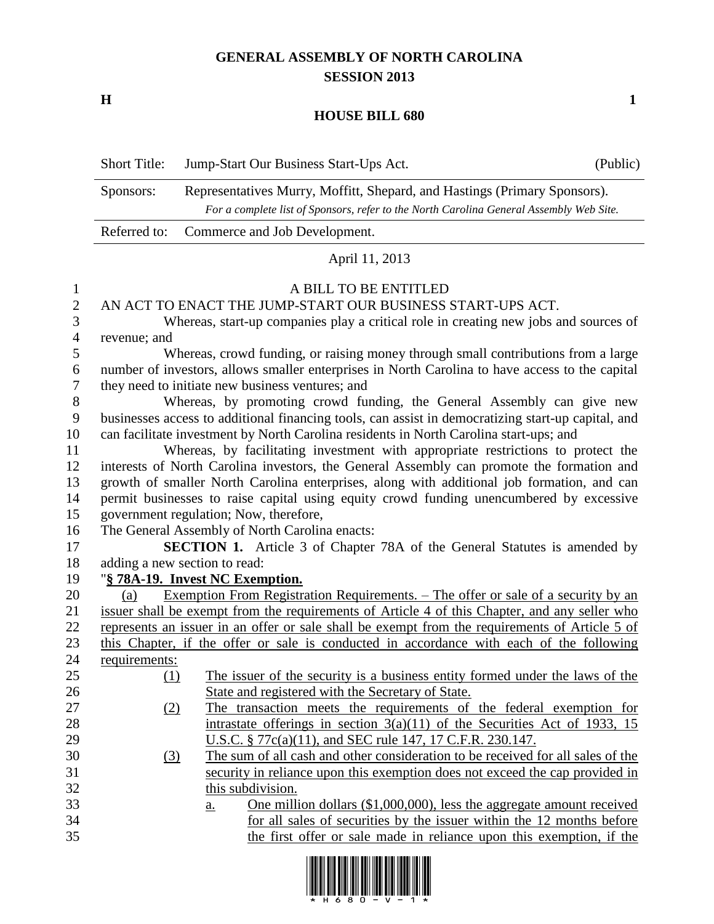## **GENERAL ASSEMBLY OF NORTH CAROLINA SESSION 2013**

**H 1**

## **HOUSE BILL 680**

|                                                                                      | <b>Short Title:</b>                                                                                                                                                                                                                                                                                                                                        | Jump-Start Our Business Start-Ups Act.<br>(Public)                                                                                                                                                                                                                                          |  |  |  |  |
|--------------------------------------------------------------------------------------|------------------------------------------------------------------------------------------------------------------------------------------------------------------------------------------------------------------------------------------------------------------------------------------------------------------------------------------------------------|---------------------------------------------------------------------------------------------------------------------------------------------------------------------------------------------------------------------------------------------------------------------------------------------|--|--|--|--|
|                                                                                      | Sponsors:                                                                                                                                                                                                                                                                                                                                                  | Representatives Murry, Moffitt, Shepard, and Hastings (Primary Sponsors).<br>For a complete list of Sponsors, refer to the North Carolina General Assembly Web Site.                                                                                                                        |  |  |  |  |
|                                                                                      | Referred to:                                                                                                                                                                                                                                                                                                                                               | Commerce and Job Development.                                                                                                                                                                                                                                                               |  |  |  |  |
|                                                                                      | April 11, 2013                                                                                                                                                                                                                                                                                                                                             |                                                                                                                                                                                                                                                                                             |  |  |  |  |
| $\mathbf{1}$<br>$\overline{\mathbf{c}}$<br>$\overline{\mathbf{3}}$<br>$\overline{4}$ | A BILL TO BE ENTITLED<br>AN ACT TO ENACT THE JUMP-START OUR BUSINESS START-UPS ACT.<br>Whereas, start-up companies play a critical role in creating new jobs and sources of<br>revenue; and                                                                                                                                                                |                                                                                                                                                                                                                                                                                             |  |  |  |  |
| 5<br>6<br>$\boldsymbol{7}$                                                           | Whereas, crowd funding, or raising money through small contributions from a large<br>number of investors, allows smaller enterprises in North Carolina to have access to the capital<br>they need to initiate new business ventures; and                                                                                                                   |                                                                                                                                                                                                                                                                                             |  |  |  |  |
| 8<br>9<br>10<br>11                                                                   | Whereas, by promoting crowd funding, the General Assembly can give new<br>businesses access to additional financing tools, can assist in democratizing start-up capital, and<br>can facilitate investment by North Carolina residents in North Carolina start-ups; and<br>Whereas, by facilitating investment with appropriate restrictions to protect the |                                                                                                                                                                                                                                                                                             |  |  |  |  |
| 12<br>13<br>14<br>15                                                                 | interests of North Carolina investors, the General Assembly can promote the formation and<br>growth of smaller North Carolina enterprises, along with additional job formation, and can<br>permit businesses to raise capital using equity crowd funding unencumbered by excessive<br>government regulation; Now, therefore,                               |                                                                                                                                                                                                                                                                                             |  |  |  |  |
| 16<br>17<br>18                                                                       | The General Assembly of North Carolina enacts:<br><b>SECTION 1.</b> Article 3 of Chapter 78A of the General Statutes is amended by<br>adding a new section to read:                                                                                                                                                                                        |                                                                                                                                                                                                                                                                                             |  |  |  |  |
| 19                                                                                   | "§ 78A-19. Invest NC Exemption.                                                                                                                                                                                                                                                                                                                            |                                                                                                                                                                                                                                                                                             |  |  |  |  |
| 20<br>21<br>22                                                                       | (a)                                                                                                                                                                                                                                                                                                                                                        | <u>Exemption From Registration Requirements. – The offer or sale of a security by an</u><br>issuer shall be exempt from the requirements of Article 4 of this Chapter, and any seller who<br>represents an issuer in an offer or sale shall be exempt from the requirements of Article 5 of |  |  |  |  |
| 23<br>24                                                                             | requirements:                                                                                                                                                                                                                                                                                                                                              | this Chapter, if the offer or sale is conducted in accordance with each of the following                                                                                                                                                                                                    |  |  |  |  |
| 25                                                                                   | (1)                                                                                                                                                                                                                                                                                                                                                        | The issuer of the security is a business entity formed under the laws of the                                                                                                                                                                                                                |  |  |  |  |
| 26                                                                                   |                                                                                                                                                                                                                                                                                                                                                            | State and registered with the Secretary of State.                                                                                                                                                                                                                                           |  |  |  |  |
| 27                                                                                   | (2)                                                                                                                                                                                                                                                                                                                                                        | The transaction meets the requirements of the federal exemption for                                                                                                                                                                                                                         |  |  |  |  |
| 28<br>29<br>30                                                                       |                                                                                                                                                                                                                                                                                                                                                            | intrastate offerings in section $3(a)(11)$ of the Securities Act of 1933, 15<br>U.S.C. § 77c(a)(11), and SEC rule 147, 17 C.F.R. 230.147.<br>The sum of all cash and other consideration to be received for all sales of the                                                                |  |  |  |  |
| 31<br>32                                                                             | $\left(3\right)$                                                                                                                                                                                                                                                                                                                                           | security in reliance upon this exemption does not exceed the cap provided in<br>this subdivision.                                                                                                                                                                                           |  |  |  |  |
| 33                                                                                   |                                                                                                                                                                                                                                                                                                                                                            | One million dollars $(\$1,000,000)$ , less the aggregate amount received<br><u>a.</u>                                                                                                                                                                                                       |  |  |  |  |
| 34                                                                                   |                                                                                                                                                                                                                                                                                                                                                            | for all sales of securities by the issuer within the 12 months before                                                                                                                                                                                                                       |  |  |  |  |
| 35                                                                                   |                                                                                                                                                                                                                                                                                                                                                            | the first offer or sale made in reliance upon this exemption, if the                                                                                                                                                                                                                        |  |  |  |  |

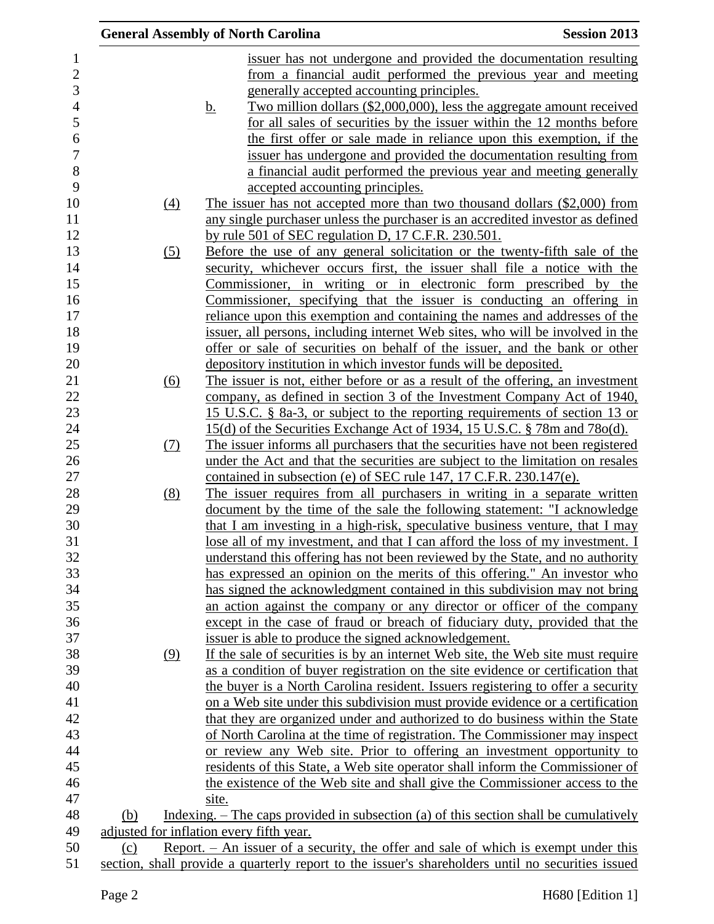|              |                                                                                              | <b>General Assembly of North Carolina</b>                                                         | <b>Session 2013</b> |
|--------------|----------------------------------------------------------------------------------------------|---------------------------------------------------------------------------------------------------|---------------------|
| $\mathbf{1}$ |                                                                                              | issuer has not undergone and provided the documentation resulting                                 |                     |
| $\sqrt{2}$   |                                                                                              | from a financial audit performed the previous year and meeting                                    |                     |
|              |                                                                                              | generally accepted accounting principles.                                                         |                     |
|              |                                                                                              | Two million dollars (\$2,000,000), less the aggregate amount received<br><u>b.</u>                |                     |
|              |                                                                                              | for all sales of securities by the issuer within the 12 months before                             |                     |
|              |                                                                                              | the first offer or sale made in reliance upon this exemption, if the                              |                     |
|              |                                                                                              | issuer has undergone and provided the documentation resulting from                                |                     |
|              |                                                                                              | a financial audit performed the previous year and meeting generally                               |                     |
|              |                                                                                              | accepted accounting principles.                                                                   |                     |
|              | (4)                                                                                          | The issuer has not accepted more than two thousand dollars (\$2,000) from                         |                     |
|              |                                                                                              | any single purchaser unless the purchaser is an accredited investor as defined                    |                     |
|              |                                                                                              | by rule 501 of SEC regulation D, 17 C.F.R. 230.501.                                               |                     |
|              | (5)                                                                                          | Before the use of any general solicitation or the twenty-fifth sale of the                        |                     |
|              |                                                                                              | security, whichever occurs first, the issuer shall file a notice with the                         |                     |
|              |                                                                                              | Commissioner, in writing or in electronic form prescribed by the                                  |                     |
|              |                                                                                              | Commissioner, specifying that the issuer is conducting an offering in                             |                     |
|              |                                                                                              | reliance upon this exemption and containing the names and addresses of the                        |                     |
|              |                                                                                              | issuer, all persons, including internet Web sites, who will be involved in the                    |                     |
|              |                                                                                              | offer or sale of securities on behalf of the issuer, and the bank or other                        |                     |
|              |                                                                                              | depository institution in which investor funds will be deposited.                                 |                     |
|              | (6)                                                                                          | The issuer is not, either before or as a result of the offering, an investment                    |                     |
|              |                                                                                              | company, as defined in section 3 of the Investment Company Act of 1940,                           |                     |
|              |                                                                                              | 15 U.S.C. § 8a-3, or subject to the reporting requirements of section 13 or                       |                     |
|              |                                                                                              | 15(d) of the Securities Exchange Act of 1934, 15 U.S.C. § 78m and 78o(d).                         |                     |
|              | (7)                                                                                          | The issuer informs all purchasers that the securities have not been registered                    |                     |
|              |                                                                                              | under the Act and that the securities are subject to the limitation on resales                    |                     |
|              |                                                                                              | contained in subsection (e) of SEC rule 147, 17 C.F.R. 230.147(e).                                |                     |
|              | (8)                                                                                          | The issuer requires from all purchasers in writing in a separate written                          |                     |
|              |                                                                                              | document by the time of the sale the following statement: "I acknowledge                          |                     |
|              |                                                                                              | that I am investing in a high-risk, speculative business venture, that I may                      |                     |
|              |                                                                                              | lose all of my investment, and that I can afford the loss of my investment. I                     |                     |
|              |                                                                                              | understand this offering has not been reviewed by the State, and no authority                     |                     |
|              |                                                                                              | has expressed an opinion on the merits of this offering." An investor who                         |                     |
|              |                                                                                              | has signed the acknowledgment contained in this subdivision may not bring                         |                     |
|              |                                                                                              | an action against the company or any director or officer of the company                           |                     |
|              |                                                                                              | except in the case of fraud or breach of fiduciary duty, provided that the                        |                     |
|              |                                                                                              | issuer is able to produce the signed acknowledgement.                                             |                     |
|              | (9)                                                                                          | If the sale of securities is by an internet Web site, the Web site must require                   |                     |
|              |                                                                                              | as a condition of buyer registration on the site evidence or certification that                   |                     |
|              |                                                                                              | the buyer is a North Carolina resident. Issuers registering to offer a security                   |                     |
|              |                                                                                              | on a Web site under this subdivision must provide evidence or a certification                     |                     |
|              |                                                                                              | that they are organized under and authorized to do business within the State                      |                     |
|              |                                                                                              | of North Carolina at the time of registration. The Commissioner may inspect                       |                     |
|              |                                                                                              | or review any Web site. Prior to offering an investment opportunity to                            |                     |
|              |                                                                                              | residents of this State, a Web site operator shall inform the Commissioner of                     |                     |
|              |                                                                                              | the existence of the Web site and shall give the Commissioner access to the                       |                     |
|              |                                                                                              | site.                                                                                             |                     |
|              | (b)                                                                                          | Indexing. $-$ The caps provided in subsection (a) of this section shall be cumulatively           |                     |
|              | adjusted for inflation every fifth year.                                                     |                                                                                                   |                     |
|              | Report. $-$ An issuer of a security, the offer and sale of which is exempt under this<br>(c) |                                                                                                   |                     |
|              |                                                                                              | section, shall provide a quarterly report to the issuer's shareholders until no securities issued |                     |